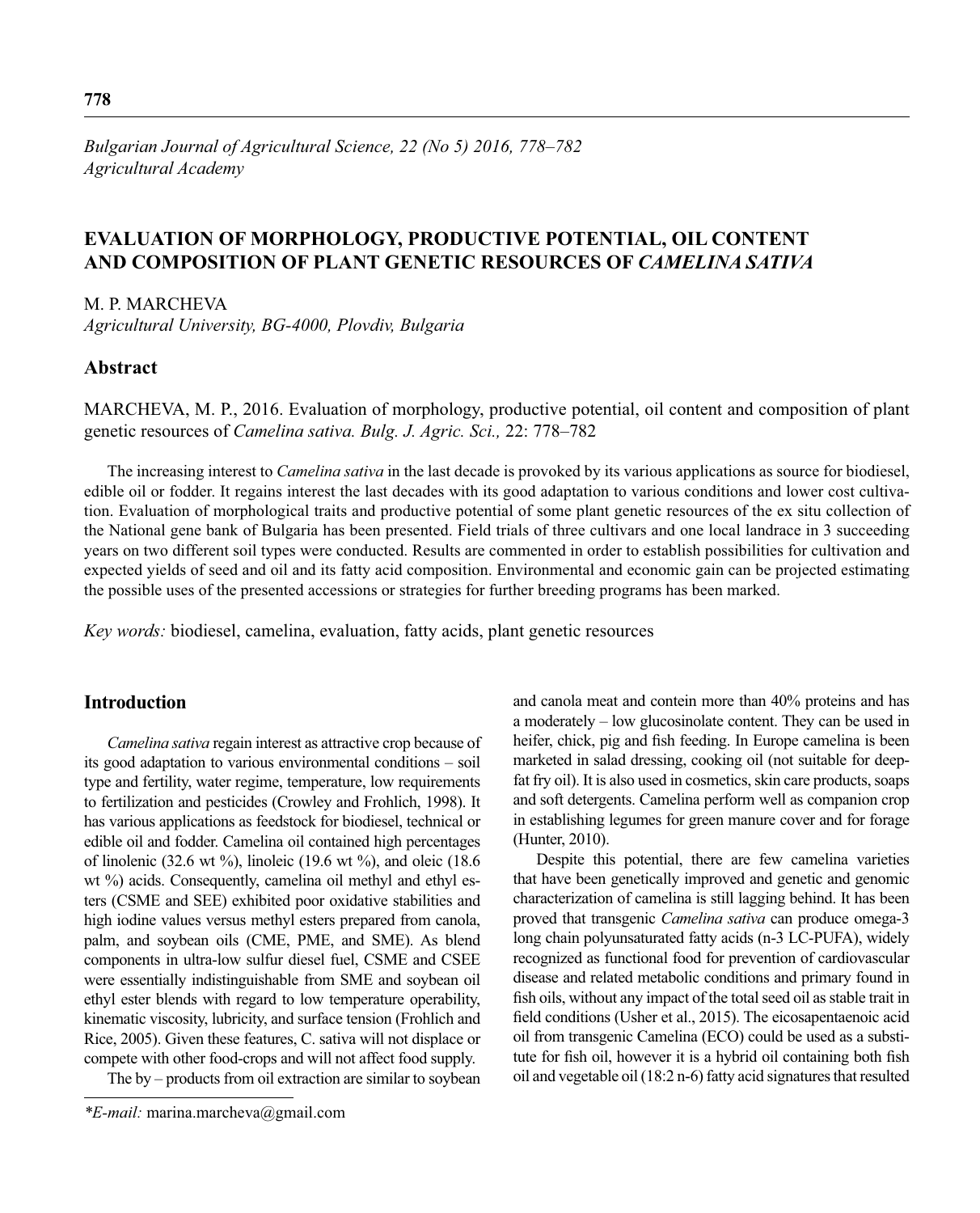*Bulgarian Journal of Agricultural Science, 22 (No 5) 2016, 778–782 Agricultural Academy*

# **EVALUATION OF MORPHOLOGY, PRODUCTIVE POTENTIAL, OIL CONTENT AND COMPOSITION OF PLANT GENETIC RESOURCES OF** *CAMELINA SATIVA*

M. P. MARCHEVA

*Agricultural University, BG-4000, Plovdiv, Bulgaria* 

## **Abstract**

MARCHEVA, M. P., 2016. Evaluation of morphology, productive potential, oil content and composition of plant genetic resources of *Camelina sativa. Bulg. J. Agric. Sci.,* 22: 778–782

The increasing interest to *Camelina sativa* in the last decade is provoked by its various applications as source for biodiesel, edible oil or fodder. It regains interest the last decades with its good adaptation to various conditions and lower cost cultivation. Evaluation of morphological traits and productive potential of some plant genetic resources of the ex situ collection of the National gene bank of Bulgaria has been presented. Field trials of three cultivars and one local landrace in 3 succeeding years on two different soil types were conducted. Results are commented in order to establish possibilities for cultivation and expected yields of seed and oil and its fatty acid composition. Environmental and economic gain can be projected estimating the possible uses of the presented accessions or strategies for further breeding programs has been marked.

*Key words:* biodiesel, camelina, evaluation, fatty acids, plant genetic resources

### **Introduction**

*Camelina sativa* regain interest as attractive crop because of its good adaptation to various environmental conditions – soil type and fertility, water regime, temperature, low requirements to fertilization and pesticides (Crowley and Frohlich, 1998). It has various applications as feedstock for biodiesel, technical or edible oil and fodder. Camelina oil contained high percentages of linolenic (32.6 wt  $\%$ ), linoleic (19.6 wt  $\%$ ), and oleic (18.6 wt %) acids. Consequently, camelina oil methyl and ethyl esters (CSME and SEE) exhibited poor oxidative stabilities and high iodine values versus methyl esters prepared from canola, palm, and soybean oils (CME, PME, and SME). As blend components in ultra-low sulfur diesel fuel, CSME and CSEE were essentially indistinguishable from SME and soybean oil ethyl ester blends with regard to low temperature operability, kinematic viscosity, lubricity, and surface tension (Frohlich and Rice, 2005). Given these features, C. sativa will not displace or compete with other food-crops and will not affect food supply.

The by – products from oil extraction are similar to soybean

and canola meat and contein more than 40% proteins and has a moderately – low glucosinolate content. They can be used in heifer, chick, pig and fish feeding. In Europe camelina is been marketed in salad dressing, cooking oil (not suitable for deepfat fry oil). It is also used in cosmetics, skin care products, soaps and soft detergents. Camelina perform well as companion crop in establishing legumes for green manure cover and for forage (Hunter, 2010).

Despite this potential, there are few camelina varieties that have been genetically improved and genetic and genomic characterization of camelina is still lagging behind. It has been proved that transgenic *Camelina sativa* can produce omega-3 long chain polyunsaturated fatty acids (n-3 LC-PUFA), widely recognized as functional food for prevention of cardiovascular disease and related metabolic conditions and primary found in fish oils, without any impact of the total seed oil as stable trait in field conditions (Usher et al., 2015). The eicosapentaenoic acid oil from transgenic Camelina (ECO) could be used as a substitute for fish oil, however it is a hybrid oil containing both fish oil and vegetable oil (18:2 n-6) fatty acid signatures that resulted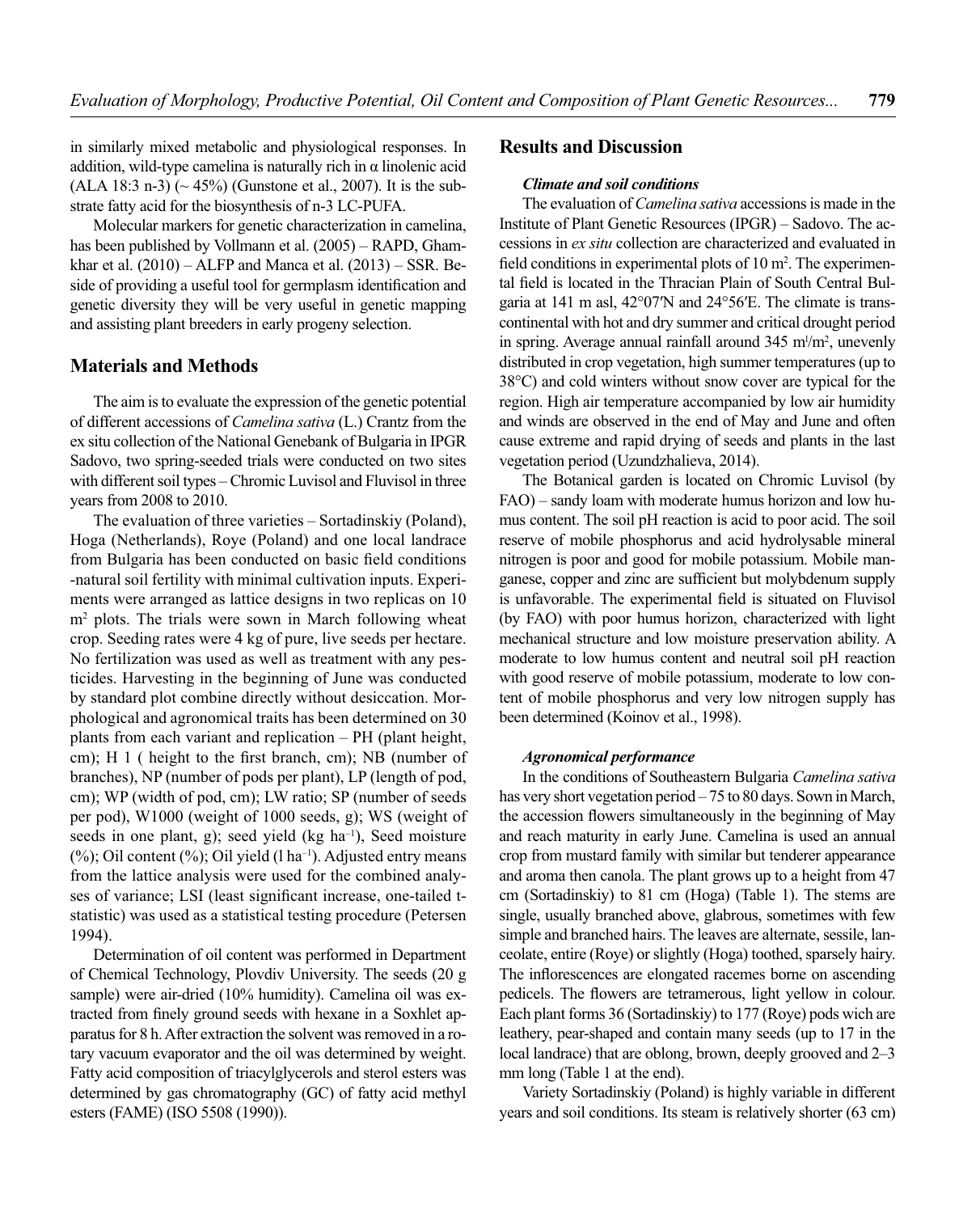in similarly mixed metabolic and physiological responses. In addition, wild-type camelina is naturally rich in  $\alpha$  linolenic acid (ALA 18:3 n-3) ( $\sim$  45%) (Gunstone et al., 2007). It is the substrate fatty acid for the biosynthesis of n-3 LC-PUFA.

Molecular markers for genetic characterization in camelina, has been published by Vollmann et al. (2005) – RAPD, Ghamkhar et al.  $(2010) - ALFP$  and Manca et al.  $(2013) - SSR$ . Beside of providing a useful tool for germplasm identification and genetic diversity they will be very useful in genetic mapping and assisting plant breeders in early progeny selection.

### **Materials and Methods**

The aim is to evaluate the expression of the genetic potential of different accessions of *Camelina sativa* (L.) Crantz from the ex situ collection of the National Genеbank of Bulgaria in IPGR Sadovo, two spring-seeded trials were conducted on two sites with different soil types – Chromic Luvisol and Fluvisol in three years from 2008 to 2010.

The evaluation of three varieties – Sortadinskiy (Poland), Hoga (Netherlands), Roye (Poland) and one local landrace from Bulgaria has been conducted on basic field conditions -natural soil fertility with minimal cultivation inputs. Experiments were arranged as lattice designs in two replicas on 10 m2 plots. The trials were sown in March following wheat crop. Seeding rates were 4 kg of pure, live seeds per hectare. No fertilization was used as well as treatment with any pesticides. Harvesting in the beginning of June was conducted by standard plot combine directly without desiccation. Morphological and agronomical traits has been determined on 30 plants from each variant and replication – PH (plant height, cm); H 1 ( height to the first branch, cm); NB (number of branches), NP (number of pods per plant), LP (length of pod, cm); WP (width of pod, cm); LW ratio; SP (number of seeds per pod), W1000 (weight of 1000 seeds, g); WS (weight of seeds in one plant, g); seed yield ( $kg \text{ ha}^{-1}$ ), Seed moisture  $(%)$ ; Oil content  $(%)$ ; Oil yield (l ha<sup>-1</sup>). Adjusted entry means from the lattice analysis were used for the combined analyses of variance; LSI (least significant increase, one-tailed tstatistic) was used as a statistical testing procedure (Petersen 1994).

Determination of oil content was performed in Department of Chemical Technology, Plovdiv University. The seeds (20 g sample) were air-dried (10% humidity). Camelina oil was extracted from finely ground seeds with hexane in a Soxhlet apparatus for 8 h. After extraction the solvent was removed in a rotary vacuum evaporator and the oil was determined by weight. Fatty acid composition of triacylglycerols and sterol esters was determined by gas chromatography (GC) of fatty acid methyl esters (FAME) (ISO 5508 (1990)).

### **Results and Discussion**

#### *Climate and soil conditions*

The evaluation of *Camelina sativa* accessions is made in the Institute of Plant Genetic Resources (IPGR) – Sadovo. The accessions in *ex situ* collection are characterized and evaluated in field conditions in experimental plots of  $10 \text{ m}^2$ . The experimental field is located in the Thracian Plain of South Central Bulgaria at 141 m asl, 42°07′N and 24°56′E. The climate is transcontinental with hot and dry summer and critical drought period in spring. Average annual rainfall around  $345 \text{ m/m}^2$ , unevenly distributed in crop vegetation, high summer temperatures (up to 38°C) and cold winters without snow cover are typical for the region. High air temperature accompanied by low air humidity and winds are observed in the end of May and June and often cause extreme and rapid drying of seeds and plants in the last vegetation period (Uzundzhalieva, 2014).

The Botanical garden is located on Chromic Luvisol (by FAO) – sandy loam with moderate humus horizon and low humus content. The soil pH reaction is acid to poor acid. The soil reserve of mobile phosphorus and acid hydrolysable mineral nitrogen is poor and good for mobile potassium. Mobile manganese, copper and zinc are sufficient but molybdenum supply is unfavorable. The experimental field is situated on Fluvisol (by FAO) with poor humus horizon, characterized with light mechanical structure and low moisture preservation ability. A moderate to low humus content and neutral soil pH reaction with good reserve of mobile potassium, moderate to low content of mobile phosphorus and very low nitrogen supply has been determined (Koinov et al., 1998).

#### *Agronomical performance*

In the conditions of Southeastern Bulgaria *Camelina sativa*  has very short vegetation period – 75 to 80 days. Sown in March, the accession flowers simultaneously in the beginning of May and reach maturity in early June. Camelina is used an annual crop from mustard family with similar but tenderer appearance and aroma then canola. The plant grows up to a height from 47 cm (Sortadinskiy) to 81 cm (Hoga) (Table 1). The stems are single, usually branched above, glabrous, sometimes with few simple and branched hairs. The leaves are alternate, sessile, lanceolate, entire (Roye) or slightly (Hoga) toothed, sparsely hairy. The inflorescences are elongated racemes borne on ascending pedicels. The flowers are tetramerous, light yellow in colour. Each plant forms 36 (Sortadinskiy) to 177 (Roye) pods wich are leathery, pear-shaped and contain many seeds (up to 17 in the local landrace) that are oblong, brown, deeply grooved and 2–3 mm long (Table 1 at the end).

Variety Sortadinskiy (Poland) is highly variable in different years and soil conditions. Its steam is relatively shorter (63 cm)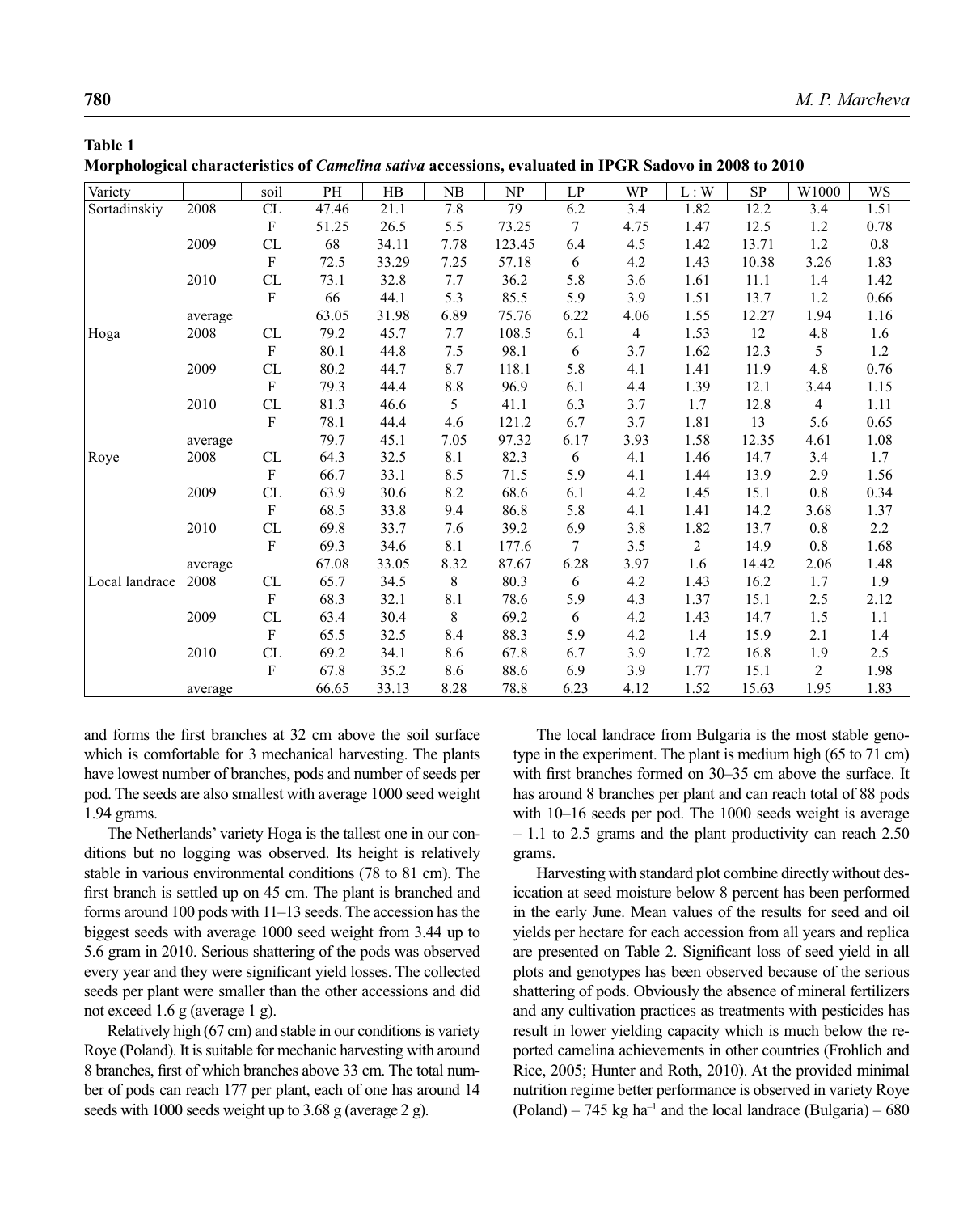### **Table 1**

|  |  |  |  |  |  |  |  |  |  |  | Morphological characteristics of <i>Camelina sativa</i> accessions, evaluated in IPGR Sadovo in 2008 to 2010 |  |  |  |  |  |  |  |  |  |  |  |  |
|--|--|--|--|--|--|--|--|--|--|--|--------------------------------------------------------------------------------------------------------------|--|--|--|--|--|--|--|--|--|--|--|--|
|--|--|--|--|--|--|--|--|--|--|--|--------------------------------------------------------------------------------------------------------------|--|--|--|--|--|--|--|--|--|--|--|--|

| Variety        |         | soil                              | PH    | HB    | NB          | NP     | $\mathop{\rm LP}\nolimits$ | WP             | L:W            | ${\rm SP}$ | $\rm W1000$    | WS      |
|----------------|---------|-----------------------------------|-------|-------|-------------|--------|----------------------------|----------------|----------------|------------|----------------|---------|
| Sortadinskiy   | 2008    | CL                                | 47.46 | 21.1  | 7.8         | 79     | 6.2                        | 3.4            | 1.82           | 12.2       | 3.4            | 1.51    |
|                |         | $\rm F$                           | 51.25 | 26.5  | 5.5         | 73.25  | $\overline{7}$             | 4.75           | 1.47           | 12.5       | 1.2            | 0.78    |
|                | 2009    | CL                                | 68    | 34.11 | 7.78        | 123.45 | 6.4                        | 4.5            | 1.42           | 13.71      | $1.2\,$        | $0.8\,$ |
|                |         | $\rm F$                           | 72.5  | 33.29 | 7.25        | 57.18  | 6                          | 4.2            | 1.43           | 10.38      | 3.26           | 1.83    |
|                | 2010    | CL                                | 73.1  | 32.8  | 7.7         | 36.2   | 5.8                        | 3.6            | 1.61           | 11.1       | 1.4            | 1.42    |
|                |         | $\mathbf F$                       | 66    | 44.1  | 5.3         | 85.5   | 5.9                        | 3.9            | 1.51           | 13.7       | $1.2\,$        | 0.66    |
|                | average |                                   | 63.05 | 31.98 | 6.89        | 75.76  | 6.22                       | 4.06           | 1.55           | 12.27      | 1.94           | 1.16    |
| Hoga           | 2008    | CL                                | 79.2  | 45.7  | 7.7         | 108.5  | 6.1                        | $\overline{4}$ | 1.53           | 12         | 4.8            | 1.6     |
|                |         | $\boldsymbol{\mathrm{F}}$         | 80.1  | 44.8  | 7.5         | 98.1   | 6                          | 3.7            | 1.62           | 12.3       | 5              | 1.2     |
|                | 2009    | ${\rm CL}$                        | 80.2  | 44.7  | 8.7         | 118.1  | 5.8                        | 4.1            | 1.41           | 11.9       | 4.8            | 0.76    |
|                |         | $\rm F$                           | 79.3  | 44.4  | $8.8\,$     | 96.9   | 6.1                        | 4.4            | 1.39           | 12.1       | 3.44           | 1.15    |
|                | 2010    | ${\rm CL}$                        | 81.3  | 46.6  | 5           | 41.1   | 6.3                        | 3.7            | 1.7            | 12.8       | $\overline{4}$ | 1.11    |
|                |         | $\rm F$                           | 78.1  | 44.4  | 4.6         | 121.2  | 6.7                        | 3.7            | 1.81           | 13         | 5.6            | 0.65    |
|                | average |                                   | 79.7  | 45.1  | 7.05        | 97.32  | 6.17                       | 3.93           | 1.58           | 12.35      | 4.61           | 1.08    |
| Roye           | 2008    | ${\rm CL}$                        | 64.3  | 32.5  | 8.1         | 82.3   | 6                          | 4.1            | 1.46           | 14.7       | 3.4            | 1.7     |
|                |         | $\rm F$                           | 66.7  | 33.1  | 8.5         | 71.5   | 5.9                        | 4.1            | 1.44           | 13.9       | 2.9            | 1.56    |
|                | 2009    | ${\rm CL}$                        | 63.9  | 30.6  | 8.2         | 68.6   | 6.1                        | 4.2            | 1.45           | 15.1       | $0.8\,$        | 0.34    |
|                |         | $\rm F$                           | 68.5  | 33.8  | 9.4         | 86.8   | 5.8                        | 4.1            | 1.41           | 14.2       | 3.68           | 1.37    |
|                | 2010    | CL                                | 69.8  | 33.7  | 7.6         | 39.2   | 6.9                        | 3.8            | 1.82           | 13.7       | $0.8\,$        | 2.2     |
|                |         | $\rm F$                           | 69.3  | 34.6  | 8.1         | 177.6  | $\tau$                     | 3.5            | $\overline{2}$ | 14.9       | 0.8            | 1.68    |
|                | average |                                   | 67.08 | 33.05 | 8.32        | 87.67  | 6.28                       | 3.97           | 1.6            | 14.42      | 2.06           | 1.48    |
| Local landrace | 2008    | ${\rm CL}$                        | 65.7  | 34.5  | $\,8\,$     | 80.3   | 6                          | 4.2            | 1.43           | 16.2       | 1.7            | 1.9     |
|                |         | $\mathbf{F}$                      | 68.3  | 32.1  | 8.1         | 78.6   | 5.9                        | 4.3            | 1.37           | 15.1       | 2.5            | 2.12    |
|                | 2009    | CL                                | 63.4  | 30.4  | $\,$ 8 $\,$ | 69.2   | 6                          | 4.2            | 1.43           | 14.7       | 1.5            | 1.1     |
|                |         | $\mathbf{F}$                      | 65.5  | 32.5  | 8.4         | 88.3   | 5.9                        | 4.2            | 1.4            | 15.9       | 2.1            | 1.4     |
|                | 2010    | $\ensuremath{\mathrm{CL}}\xspace$ | 69.2  | 34.1  | 8.6         | 67.8   | 6.7                        | 3.9            | 1.72           | 16.8       | 1.9            | 2.5     |
|                |         | $\mathbf{F}$                      | 67.8  | 35.2  | 8.6         | 88.6   | 6.9                        | 3.9            | 1.77           | 15.1       | $\overline{c}$ | 1.98    |
|                | average |                                   | 66.65 | 33.13 | 8.28        | 78.8   | 6.23                       | 4.12           | 1.52           | 15.63      | 1.95           | 1.83    |

and forms the first branches at 32 cm above the soil surface which is comfortable for 3 mechanical harvesting. The plants have lowest number of branches, pods and number of seeds per pod. The seeds are also smallest with average 1000 seed weight 1.94 grams.

The Netherlands' variety Hoga is the tallest one in our conditions but no logging was observed. Its height is relatively stable in various environmental conditions (78 to 81 cm). The first branch is settled up on 45 cm. The plant is branched and forms around 100 pods with 11–13 seeds. The accession has the biggest seeds with average 1000 seed weight from 3.44 up to 5.6 gram in 2010. Serious shattering of the pods was observed every year and they were significant yield losses. The collected seeds per plant were smaller than the other accessions and did not exceed 1.6 g (average 1 g).

Relatively high (67 cm) and stable in our conditions is variety Roye (Poland). It is suitable for mechanic harvesting with around 8 branches, first of which branches above 33 cm. The total number of pods can reach 177 per plant, each of one has around 14 seeds with 1000 seeds weight up to 3.68 g (average 2 g).

The local landrace from Bulgaria is the most stable genotype in the experiment. The plant is medium high (65 to 71 cm) with first branches formed on 30–35 cm above the surface. It has around 8 branches per plant and can reach total of 88 pods with 10–16 seeds per pod. The 1000 seeds weight is average – 1.1 to 2.5 grams and the plant productivity can reach 2.50 grams.

Harvesting with standard plot combine directly without desiccation at seed moisture below 8 percent has been performed in the early June. Mean values of the results for seed and oil yields per hectare for each accession from all years and replica are presented on Table 2. Significant loss of seed yield in all plots and genotypes has been observed because of the serious shattering of pods. Obviously the absence of mineral fertilizers and any cultivation practices as treatments with pesticides has result in lower yielding capacity which is much below the reported camelina achievements in other countries (Frohlich and Rice, 2005; Hunter and Roth, 2010). At the provided minimal nutrition regime better performance is observed in variety Roye (Poland) – 745 kg ha<sup>-1</sup> and the local landrace (Bulgaria) – 680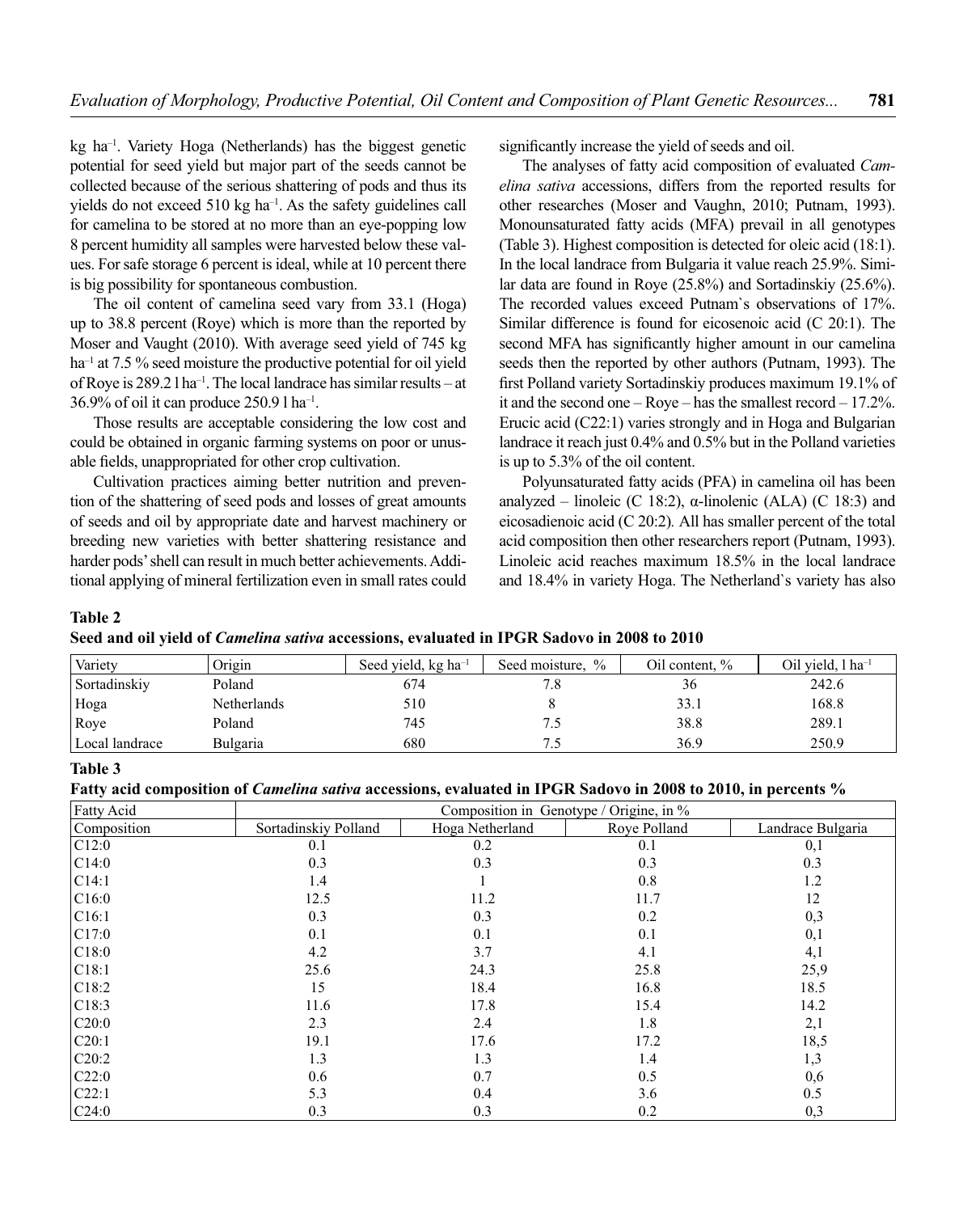kg ha–1. Variety Hoga (Netherlands) has the biggest genetic potential for seed yield but major part of the seeds cannot be collected because of the serious shattering of pods and thus its yields do not exceed 510 kg ha–1. As the safety guidelines call for camelina to be stored at no more than an eye-popping low 8 percent humidity all samples were harvested below these values. For safe storage 6 percent is ideal, while at 10 percent there is big possibility for spontaneous combustion.

The oil content of camelina seed vary from 33.1 (Hoga) up to 38.8 percent (Roye) which is more than the reported by Moser and Vaught (2010). With average seed yield of 745 kg ha<sup>-1</sup> at 7.5 % seed moisture the productive potential for oil yield of Roye is 289.2 l ha–1. The local landrace has similar results – at 36.9% of oil it can produce 250.9 l ha–1.

Those results are acceptable considering the low cost and could be obtained in organic farming systems on poor or unusable fields, unappropriated for other crop cultivation.

Cultivation practices aiming better nutrition and prevention of the shattering of seed pods and losses of great amounts of seeds and oil by appropriate date and harvest machinery or breeding new varieties with better shattering resistance and harder pods' shell can result in much better achievements. Additional applying of mineral fertilization even in small rates could significantly increase the yield of seeds and oil.

The analyses of fatty acid composition of evaluated *Camelina sativa* accessions, differs from the reported results for other researches (Moser and Vaughn, 2010; Putnam, 1993). Monounsaturated fatty acids (MFA) prevail in all genotypes (Table 3). Highest composition is detected for oleic acid (18:1). In the local landrace from Bulgaria it value reach 25.9%. Similar data are found in Roye (25.8%) and Sortadinskiy (25.6%). The recorded values exceed Putnam`s observations of 17%. Similar difference is found for eicosenoic acid (C 20:1). The second MFA has significantly higher amount in our camelina seeds then the reported by other authors (Putnam, 1993). The first Polland variety Sortadinskiy produces maximum 19.1% of it and the second one – Roye – has the smallest record – 17.2%. Erucic acid (C22:1) varies strongly and in Hoga and Bulgarian landrace it reach just 0.4% and 0.5% but in the Polland varieties is up to 5.3% of the oil content.

Polyunsaturated fatty acids (PFA) in camelina oil has been analyzed – linoleic (C 18:2),  $\alpha$ -linolenic (ALA) (C 18:3) and eicosadienoic acid (C 20:2)*.* All has smaller percent of the total acid composition then other researchers report (Putnam, 1993). Linoleic acid reaches maximum 18.5% in the local landrace and 18.4% in variety Hoga. The Netherland`s variety has also

#### **Table 2**

**Seed and oil yield of** *Camelina sativa* **accessions, evaluated in IPGR Sadovo in 2008 to 2010**

| Variety        | Origin          | Seed yield, kg ha <sup>-1</sup> | $\frac{0}{0}$<br>Seed moisture. | Oil content, % | Oil vield, l ha <sup>-1</sup> |
|----------------|-----------------|---------------------------------|---------------------------------|----------------|-------------------------------|
| Sortadinskiy   | Poland          | 674                             | 7.8                             | 36             | 242.6                         |
| Hoga           | Netherlands     | 510                             |                                 | 33.1           | 168.8                         |
| Roye           | Poland          | 745                             |                                 | 38.8           | 289.1                         |
| Local landrace | <b>Bulgaria</b> | 680                             |                                 | 36.9           | 250.9                         |

### **Table 3**

**Fatty acid composition of** *Camelina sativa* **accessions, evaluated in IPGR Sadovo in 2008 to 2010, in percents %**

| Fatty Acid  | Composition in Genotype / Origine, in % |                 |              |                   |  |  |  |
|-------------|-----------------------------------------|-----------------|--------------|-------------------|--|--|--|
| Composition | Sortadinskiy Polland                    | Hoga Netherland | Roye Polland | Landrace Bulgaria |  |  |  |
| C12:0       | 0.1                                     | 0.2             | 0.1          | 0,1               |  |  |  |
| C14:0       | 0.3                                     | 0.3             | 0.3          | 0.3               |  |  |  |
| C14:1       | 1.4                                     |                 | 0.8          | 1.2               |  |  |  |
| C16:0       | 12.5                                    | 11.2            | 11.7         | 12                |  |  |  |
| C16:1       | 0.3                                     | 0.3             | 0.2          | 0,3               |  |  |  |
| C17:0       | 0.1                                     | 0.1             | 0.1          | 0,1               |  |  |  |
| C18:0       | 4.2                                     | 3.7             | 4.1          | 4,1               |  |  |  |
| C18:1       | 25.6                                    | 24.3            | 25.8         | 25,9              |  |  |  |
| C18:2       | 15                                      | 18.4            | 16.8         | 18.5              |  |  |  |
| C18:3       | 11.6                                    | 17.8            | 15.4         | 14.2              |  |  |  |
| C20:0       | 2.3                                     | 2.4             | 1.8          | 2,1               |  |  |  |
| C20:1       | 19.1                                    | 17.6            | 17.2         | 18,5              |  |  |  |
| C20:2       | 1.3                                     | 1.3             | 1.4          | 1,3               |  |  |  |
| C22:0       | 0.6                                     | 0.7             | 0.5          | 0,6               |  |  |  |
| C22:1       | 5.3                                     | 0.4             | 3.6          | 0.5               |  |  |  |
| C24:0       | 0.3                                     | 0.3             | 0.2          | 0,3               |  |  |  |